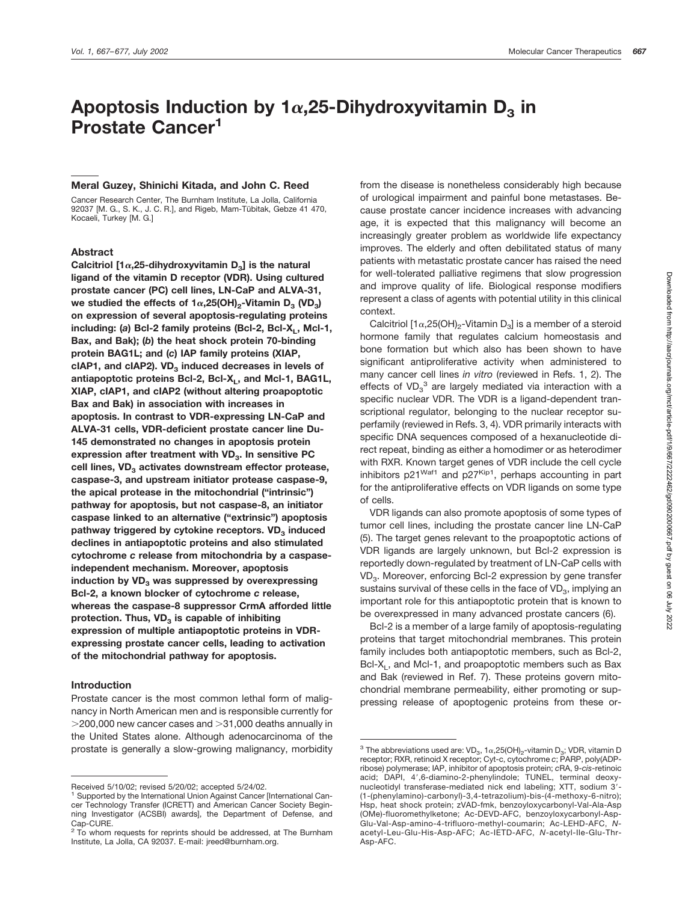# Apoptosis Induction by  $1\alpha,25$ -Dihydroxyvitamin D<sub>3</sub> in **Prostate Cancer1**

# **Meral Guzey, Shinichi Kitada, and John C. Reed**

Cancer Research Center, The Burnham Institute, La Jolla, California 92037 [M. G., S. K., J. C. R.], and Rigeb, Mam-Tübitak, Gebze 41 470, Kocaeli, Turkey [M. G.]

# **Abstract**

Calcitriol  $[1\alpha, 25$ -dihydroxyvitamin  $D_3$ ] is the natural **ligand of the vitamin D receptor (VDR). Using cultured prostate cancer (PC) cell lines, LN-CaP and ALVA-31,** we studied the effects of  $1\alpha,25(OH)_{2}$ -Vitamin D<sub>3</sub> (VD<sub>3</sub>) **on expression of several apoptosis-regulating proteins** including: (a) Bcl-2 family proteins (Bcl-2, Bcl-X<sub>L</sub>, Mcl-1, **Bax, and Bak); (***b***) the heat shock protein 70-binding protein BAG1L; and (***c***) IAP family proteins (XIAP,** cIAP1, and cIAP2). VD<sub>3</sub> induced decreases in levels of antiapoptotic proteins Bcl-2, Bcl-X<sub>L</sub>, and Mcl-1, BAG1L, **XIAP, cIAP1, and cIAP2 (without altering proapoptotic Bax and Bak) in association with increases in apoptosis. In contrast to VDR-expressing LN-CaP and ALVA-31 cells, VDR-deficient prostate cancer line Du-145 demonstrated no changes in apoptosis protein** expression after treatment with VD<sub>3</sub>. In sensitive PC cell lines, VD<sub>3</sub> activates downstream effector protease, **caspase-3, and upstream initiator protease caspase-9, the apical protease in the mitochondrial ("intrinsic") pathway for apoptosis, but not caspase-8, an initiator caspase linked to an alternative ("extrinsic") apoptosis** pathway triggered by cytokine receptors. VD<sub>3</sub> induced **declines in antiapoptotic proteins and also stimulated cytochrome** *c* **release from mitochondria by a caspaseindependent mechanism. Moreover, apoptosis induction by VD<sub>3</sub> was suppressed by overexpressing Bcl-2, a known blocker of cytochrome** *c* **release, whereas the caspase-8 suppressor CrmA afforded little** protection. Thus, VD<sub>3</sub> is capable of inhibiting **expression of multiple antiapoptotic proteins in VDRexpressing prostate cancer cells, leading to activation of the mitochondrial pathway for apoptosis.**

### **Introduction**

Prostate cancer is the most common lethal form of malignancy in North American men and is responsible currently for  $>$  200,000 new cancer cases and  $>$  31,000 deaths annually in the United States alone. Although adenocarcinoma of the prostate is generally a slow-growing malignancy, morbidity

from the disease is nonetheless considerably high because of urological impairment and painful bone metastases. Because prostate cancer incidence increases with advancing age, it is expected that this malignancy will become an increasingly greater problem as worldwide life expectancy improves. The elderly and often debilitated status of many patients with metastatic prostate cancer has raised the need for well-tolerated palliative regimens that slow progression and improve quality of life. Biological response modifiers represent a class of agents with potential utility in this clinical context.

Calcitriol  $[1\alpha,25(OH)_2$ -Vitamin D<sub>3</sub>] is a member of a steroid hormone family that regulates calcium homeostasis and bone formation but which also has been shown to have significant antiproliferative activity when administered to many cancer cell lines *in vitro* (reviewed in Refs. 1, 2). The effects of VD $_3^3$  are largely mediated via interaction with a specific nuclear VDR. The VDR is a ligand-dependent transcriptional regulator, belonging to the nuclear receptor superfamily (reviewed in Refs. 3, 4). VDR primarily interacts with specific DNA sequences composed of a hexanucleotide direct repeat, binding as either a homodimer or as heterodimer with RXR. Known target genes of VDR include the cell cycle inhibitors  $p21^{Waf1}$  and  $p27^{Kip1}$ , perhaps accounting in part for the antiproliferative effects on VDR ligands on some type of cells.

VDR ligands can also promote apoptosis of some types of tumor cell lines, including the prostate cancer line LN-CaP (5). The target genes relevant to the proapoptotic actions of VDR ligands are largely unknown, but Bcl-2 expression is reportedly down-regulated by treatment of LN-CaP cells with VD<sub>3</sub>. Moreover, enforcing Bcl-2 expression by gene transfer sustains survival of these cells in the face of  $VD_{3}$ , implying an important role for this antiapoptotic protein that is known to be overexpressed in many advanced prostate cancers (6).

Bcl-2 is a member of a large family of apoptosis-regulating proteins that target mitochondrial membranes. This protein family includes both antiapoptotic members, such as Bcl-2, Bcl-X<sub>L</sub>, and Mcl-1, and proapoptotic members such as Bax and Bak (reviewed in Ref. 7). These proteins govern mitochondrial membrane permeability, either promoting or suppressing release of apoptogenic proteins from these or-

Received 5/10/02; revised 5/20/02; accepted 5/24/02.

<sup>1</sup> Supported by the International Union Against Cancer [International Cancer Technology Transfer (ICRETT) and American Cancer Society Beginning Investigator (ACSBI) awards], the Department of Defense, and Cap-CURE.

 $2$  To whom requests for reprints should be addressed, at The Burnham Institute, La Jolla, CA 92037. E-mail: jreed@burnham.org.

<sup>&</sup>lt;sup>3</sup> The abbreviations used are:  $VD_3$ , 1 $\alpha$ , 25(OH)<sub>2</sub>-vitamin D<sub>3</sub>; VDR, vitamin D receptor; RXR, retinoid X receptor; Cyt-c, cytochrome *c*; PARP, poly(ADPribose) polymerase; IAP, inhibitor of apoptosis protein; *c*RA, 9-*cis*-retinoic acid; DAPI, 4',6-diamino-2-phenylindole; TUNEL, terminal deoxynucleotidyl transferase-mediated nick end labeling; XTT, sodium 3'-(1-(phenylamino)-carbonyl)-3,4-tetrazolium)-bis-(4-methoxy-6-nitro); Hsp, heat shock protein; zVAD-fmk, benzoyloxycarbonyl-Val-Ala-Asp (OMe)-fluoromethylketone; Ac-DEVD-AFC, benzoyloxycarbonyl-Asp-Glu-Val-Asp-amino-4-trifluoro-methyl-coumarin; Ac-LEHD-AFC, *N*acetyl-Leu-Glu-His-Asp-AFC; Ac-IETD-AFC, *N*-acetyl-Ile-Glu-Thr-Asp-AFC.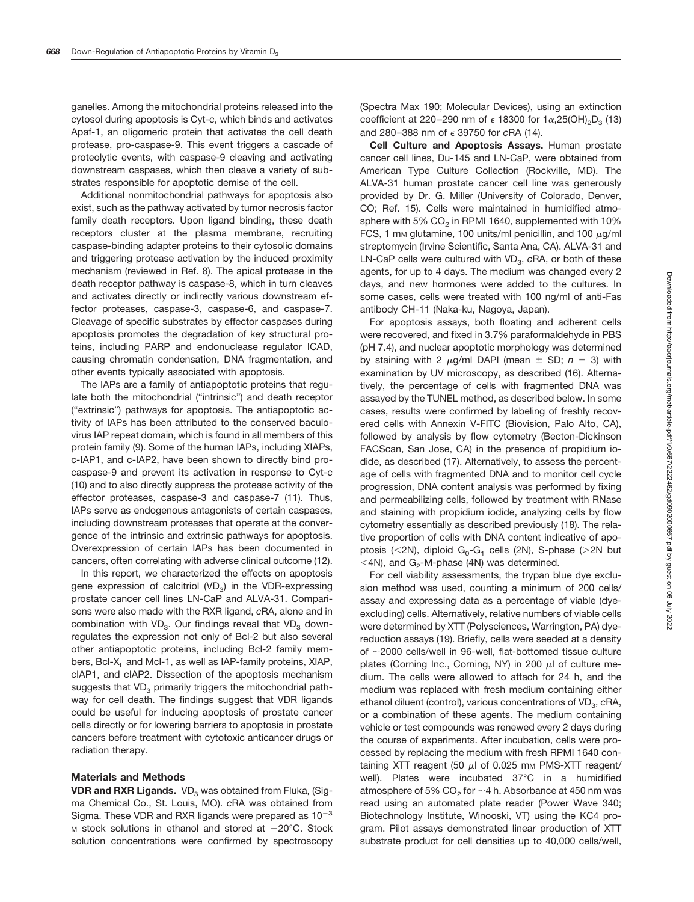ganelles. Among the mitochondrial proteins released into the cytosol during apoptosis is Cyt-c, which binds and activates Apaf-1, an oligomeric protein that activates the cell death protease, pro-caspase-9. This event triggers a cascade of proteolytic events, with caspase-9 cleaving and activating downstream caspases, which then cleave a variety of substrates responsible for apoptotic demise of the cell.

Additional nonmitochondrial pathways for apoptosis also exist, such as the pathway activated by tumor necrosis factor family death receptors. Upon ligand binding, these death receptors cluster at the plasma membrane, recruiting caspase-binding adapter proteins to their cytosolic domains and triggering protease activation by the induced proximity mechanism (reviewed in Ref. 8). The apical protease in the death receptor pathway is caspase-8, which in turn cleaves and activates directly or indirectly various downstream effector proteases, caspase-3, caspase-6, and caspase-7. Cleavage of specific substrates by effector caspases during apoptosis promotes the degradation of key structural proteins, including PARP and endonuclease regulator ICAD, causing chromatin condensation, DNA fragmentation, and other events typically associated with apoptosis.

The IAPs are a family of antiapoptotic proteins that regulate both the mitochondrial ("intrinsic") and death receptor ("extrinsic") pathways for apoptosis. The antiapoptotic activity of IAPs has been attributed to the conserved baculovirus IAP repeat domain, which is found in all members of this protein family (9). Some of the human IAPs, including XIAPs, c-IAP1, and c-IAP2, have been shown to directly bind procaspase-9 and prevent its activation in response to Cyt-c (10) and to also directly suppress the protease activity of the effector proteases, caspase-3 and caspase-7 (11). Thus, IAPs serve as endogenous antagonists of certain caspases, including downstream proteases that operate at the convergence of the intrinsic and extrinsic pathways for apoptosis. Overexpression of certain IAPs has been documented in cancers, often correlating with adverse clinical outcome (12).

In this report, we characterized the effects on apoptosis gene expression of calcitriol  $(VD<sub>2</sub>)$  in the VDR-expressing prostate cancer cell lines LN-CaP and ALVA-31. Comparisons were also made with the RXR ligand, *c*RA, alone and in combination with  $VD<sub>3</sub>$ . Our findings reveal that  $VD<sub>3</sub>$  downregulates the expression not only of Bcl-2 but also several other antiapoptotic proteins, including Bcl-2 family members, Bcl-X<sub>i</sub> and Mcl-1, as well as IAP-family proteins, XIAP, cIAP1, and cIAP2. Dissection of the apoptosis mechanism suggests that  $VD<sub>3</sub>$  primarily triggers the mitochondrial pathway for cell death. The findings suggest that VDR ligands could be useful for inducing apoptosis of prostate cancer cells directly or for lowering barriers to apoptosis in prostate cancers before treatment with cytotoxic anticancer drugs or radiation therapy.

#### **Materials and Methods**

**VDR and RXR Ligands.** VD<sub>3</sub> was obtained from Fluka, (Sigma Chemical Co., St. Louis, MO). *c*RA was obtained from Sigma. These VDR and RXR ligands were prepared as  $10^{-3}$  $M$  stock solutions in ethanol and stored at  $-20^{\circ}$ C. Stock solution concentrations were confirmed by spectroscopy

(Spectra Max 190; Molecular Devices), using an extinction coefficient at 220–290 nm of  $\epsilon$  18300 for 1 $\alpha$ ,25(OH)<sub>2</sub>D<sub>3</sub> (13) and 280–388 nm of  $\epsilon$  39750 for cRA (14).

**Cell Culture and Apoptosis Assays.** Human prostate cancer cell lines, Du-145 and LN-CaP, were obtained from American Type Culture Collection (Rockville, MD). The ALVA-31 human prostate cancer cell line was generously provided by Dr. G. Miller (University of Colorado, Denver, CO; Ref. 15). Cells were maintained in humidified atmosphere with 5%  $CO<sub>2</sub>$  in RPMI 1640, supplemented with 10% FCS, 1 mm glutamine, 100 units/ml penicillin, and 100  $\mu$ g/ml streptomycin (Irvine Scientific, Santa Ana, CA). ALVA-31 and LN-CaP cells were cultured with VD<sub>3</sub>, cRA, or both of these agents, for up to 4 days. The medium was changed every 2 days, and new hormones were added to the cultures. In some cases, cells were treated with 100 ng/ml of anti-Fas antibody CH-11 (Naka-ku, Nagoya, Japan).

For apoptosis assays, both floating and adherent cells were recovered, and fixed in 3.7% paraformaldehyde in PBS (pH 7.4), and nuclear apoptotic morphology was determined by staining with 2  $\mu$ g/ml DAPI (mean  $\pm$  SD;  $n = 3$ ) with examination by UV microscopy, as described (16). Alternatively, the percentage of cells with fragmented DNA was assayed by the TUNEL method, as described below. In some cases, results were confirmed by labeling of freshly recovered cells with Annexin V-FITC (Biovision, Palo Alto, CA), followed by analysis by flow cytometry (Becton-Dickinson FACScan, San Jose, CA) in the presence of propidium iodide, as described (17). Alternatively, to assess the percentage of cells with fragmented DNA and to monitor cell cycle progression, DNA content analysis was performed by fixing and permeabilizing cells, followed by treatment with RNase and staining with propidium iodide, analyzing cells by flow cytometry essentially as described previously (18). The relative proportion of cells with DNA content indicative of apoptosis (<2N), diploid  $G_0-G_1$  cells (2N), S-phase (>2N but  $\leq$ 4N), and G<sub>2</sub>-M-phase (4N) was determined.

For cell viability assessments, the trypan blue dye exclusion method was used, counting a minimum of 200 cells/ assay and expressing data as a percentage of viable (dyeexcluding) cells. Alternatively, relative numbers of viable cells were determined by XTT (Polysciences, Warrington, PA) dyereduction assays (19). Briefly, cells were seeded at a density of  $\sim$ 2000 cells/well in 96-well, flat-bottomed tissue culture plates (Corning Inc., Corning, NY) in 200  $\mu$  of culture medium. The cells were allowed to attach for 24 h, and the medium was replaced with fresh medium containing either ethanol diluent (control), various concentrations of VD<sub>3</sub>, cRA, or a combination of these agents. The medium containing vehicle or test compounds was renewed every 2 days during the course of experiments. After incubation, cells were processed by replacing the medium with fresh RPMI 1640 containing XTT reagent (50  $\mu$ l of 0.025 mm PMS-XTT reagent/ well). Plates were incubated 37°C in a humidified atmosphere of 5% CO<sub>2</sub> for  $\sim$  4 h. Absorbance at 450 nm was read using an automated plate reader (Power Wave 340; Biotechnology Institute, Winooski, VT) using the KC4 program. Pilot assays demonstrated linear production of XTT substrate product for cell densities up to 40,000 cells/well,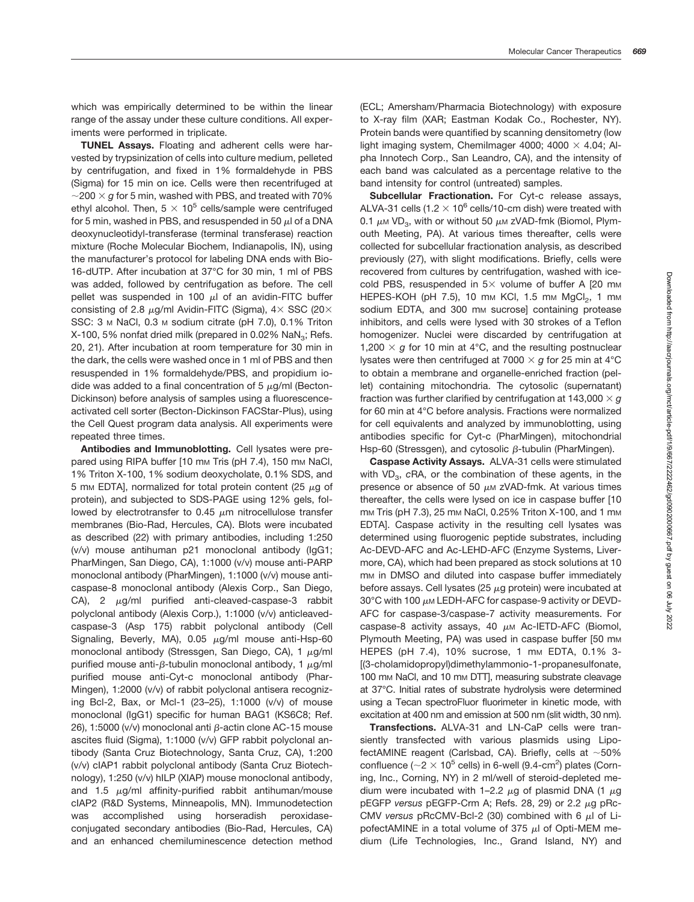which was empirically determined to be within the linear range of the assay under these culture conditions. All experiments were performed in triplicate.

**TUNEL Assays.** Floating and adherent cells were harvested by trypsinization of cells into culture medium, pelleted by centrifugation, and fixed in 1% formaldehyde in PBS (Sigma) for 15 min on ice. Cells were then recentrifuged at  $\sim$ 200  $\times$  q for 5 min, washed with PBS, and treated with 70% ethyl alcohol. Then,  $5 \times 10^5$  cells/sample were centrifuged for 5 min, washed in PBS, and resuspended in 50  $\mu$  of a DNA deoxynucleotidyl-transferase (terminal transferase) reaction mixture (Roche Molecular Biochem, Indianapolis, IN), using the manufacturer's protocol for labeling DNA ends with Bio-16-dUTP. After incubation at 37°C for 30 min, 1 ml of PBS was added, followed by centrifugation as before. The cell pellet was suspended in 100  $\mu$  of an avidin-FITC buffer consisting of 2.8  $\mu$ g/ml Avidin-FITC (Sigma),  $4 \times$  SSC (20 $\times$ SSC: 3 M NaCl, 0.3 M sodium citrate (pH 7.0), 0.1% Triton X-100, 5% nonfat dried milk (prepared in 0.02% NaN<sub>3</sub>; Refs. 20, 21). After incubation at room temperature for 30 min in the dark, the cells were washed once in 1 ml of PBS and then resuspended in 1% formaldehyde/PBS, and propidium iodide was added to a final concentration of 5  $\mu$ g/ml (Becton-Dickinson) before analysis of samples using a fluorescenceactivated cell sorter (Becton-Dickinson FACStar-Plus), using the Cell Quest program data analysis. All experiments were repeated three times.

**Antibodies and Immunoblotting.** Cell lysates were prepared using RIPA buffer [10 mm Tris (pH 7.4), 150 mm NaCl, 1% Triton X-100, 1% sodium deoxycholate, 0.1% SDS, and 5 mm EDTA], normalized for total protein content (25  $\mu$ g of protein), and subjected to SDS-PAGE using 12% gels, followed by electrotransfer to 0.45  $\mu$ m nitrocellulose transfer membranes (Bio-Rad, Hercules, CA). Blots were incubated as described (22) with primary antibodies, including 1:250 (v/v) mouse antihuman p21 monoclonal antibody (IgG1; PharMingen, San Diego, CA), 1:1000 (v/v) mouse anti-PARP monoclonal antibody (PharMingen), 1:1000 (v/v) mouse anticaspase-8 monoclonal antibody (Alexis Corp., San Diego, CA), 2  $\mu$ g/ml purified anti-cleaved-caspase-3 rabbit polyclonal antibody (Alexis Corp.), 1:1000 (v/v) anticleavedcaspase-3 (Asp 175) rabbit polyclonal antibody (Cell Signaling, Beverly, MA), 0.05  $\mu$ g/ml mouse anti-Hsp-60 monoclonal antibody (Stressgen, San Diego, CA), 1  $\mu$ g/ml purified mouse anti- $\beta$ -tubulin monoclonal antibody, 1  $\mu$ q/ml purified mouse anti-Cyt-c monoclonal antibody (Phar-Mingen), 1:2000 (v/v) of rabbit polyclonal antisera recognizing Bcl-2, Bax, or Mcl-1 (23–25), 1:1000 (v/v) of mouse monoclonal (IgG1) specific for human BAG1 (KS6C8; Ref. 26), 1:5000 (v/v) monoclonal anti  $\beta$ -actin clone AC-15 mouse ascites fluid (Sigma), 1:1000 (v/v) GFP rabbit polyclonal antibody (Santa Cruz Biotechnology, Santa Cruz, CA), 1:200 (v/v) cIAP1 rabbit polyclonal antibody (Santa Cruz Biotechnology), 1:250 (v/v) hILP (XIAP) mouse monoclonal antibody, and 1.5  $\mu$ g/ml affinity-purified rabbit antihuman/mouse cIAP2 (R&D Systems, Minneapolis, MN). Immunodetection was accomplished using horseradish peroxidaseconjugated secondary antibodies (Bio-Rad, Hercules, CA) and an enhanced chemiluminescence detection method

(ECL; Amersham/Pharmacia Biotechnology) with exposure to X-ray film (XAR; Eastman Kodak Co., Rochester, NY). Protein bands were quantified by scanning densitometry (low light imaging system, Chemilmager 4000; 4000  $\times$  4.04; Alpha Innotech Corp., San Leandro, CA), and the intensity of each band was calculated as a percentage relative to the band intensity for control (untreated) samples.

**Subcellular Fractionation.** For Cyt-c release assays, ALVA-31 cells (1.2  $\times$  10<sup>6</sup> cells/10-cm dish) were treated with 0.1  $\mu$ M VD<sub>3</sub>, with or without 50  $\mu$ M zVAD-fmk (Biomol, Plymouth Meeting, PA). At various times thereafter, cells were collected for subcellular fractionation analysis, as described previously (27), with slight modifications. Briefly, cells were recovered from cultures by centrifugation, washed with icecold PBS, resuspended in  $5 \times$  volume of buffer A [20 mm HEPES-KOH (pH  $7.5$ ), 10 mm KCl, 1.5 mm MgCl<sub>2</sub>, 1 mm sodium EDTA, and 300 mm sucrosel containing protease inhibitors, and cells were lysed with 30 strokes of a Teflon homogenizer. Nuclei were discarded by centrifugation at 1,200  $\times$  g for 10 min at 4°C, and the resulting postnuclear lysates were then centrifuged at 7000  $\times$  g for 25 min at 4°C to obtain a membrane and organelle-enriched fraction (pellet) containing mitochondria. The cytosolic (supernatant) fraction was further clarified by centrifugation at 143,000  $\times$  g for 60 min at 4°C before analysis. Fractions were normalized for cell equivalents and analyzed by immunoblotting, using antibodies specific for Cyt-c (PharMingen), mitochondrial Hsp-60 (Stressgen), and cytosolic  $\beta$ -tubulin (PharMingen).

**Caspase Activity Assays.** ALVA-31 cells were stimulated with VD<sub>3</sub>, cRA, or the combination of these agents, in the presence or absence of 50  $\mu$ M zVAD-fmk. At various times thereafter, the cells were lysed on ice in caspase buffer [10 mm Tris (pH 7.3), 25 mm NaCl, 0.25% Triton X-100, and 1 mm EDTA]. Caspase activity in the resulting cell lysates was determined using fluorogenic peptide substrates, including Ac-DEVD-AFC and Ac-LEHD-AFC (Enzyme Systems, Livermore, CA), which had been prepared as stock solutions at 10 mm in DMSO and diluted into caspase buffer immediately before assays. Cell lysates (25  $\mu$ g protein) were incubated at 30 $^{\circ}$ C with 100  $\mu$ M LEDH-AFC for caspase-9 activity or DEVD-AFC for caspase-3/caspase-7 activity measurements. For caspase-8 activity assays, 40  $\mu$ M Ac-IETD-AFC (Biomol, Plymouth Meeting, PA) was used in caspase buffer [50 mm HEPES (pH 7.4), 10% sucrose, 1 mm EDTA, 0.1% 3-[(3-cholamidopropyl)dimethylammonio-1-propanesulfonate, 100 mm NaCl, and 10 mm DTT], measuring substrate cleavage at 37°C. Initial rates of substrate hydrolysis were determined using a Tecan spectroFluor fluorimeter in kinetic mode, with excitation at 400 nm and emission at 500 nm (slit width, 30 nm).

**Transfections.** ALVA-31 and LN-CaP cells were transiently transfected with various plasmids using LipofectAMINE reagent (Carlsbad, CA). Briefly, cells at  $~100\%$ confluence ( $\sim$ 2  $\times$  10<sup>5</sup> cells) in 6-well (9.4-cm<sup>2</sup>) plates (Corning, Inc., Corning, NY) in 2 ml/well of steroid-depleted medium were incubated with 1–2.2  $\mu$ g of plasmid DNA (1  $\mu$ g pEGFP versus pEGFP-Crm A; Refs. 28, 29) or 2.2 μg pRc-CMV versus pRcCMV-Bcl-2 (30) combined with 6  $\mu$ l of LipofectAMINE in a total volume of 375  $\mu$ I of Opti-MEM medium (Life Technologies, Inc., Grand Island, NY) and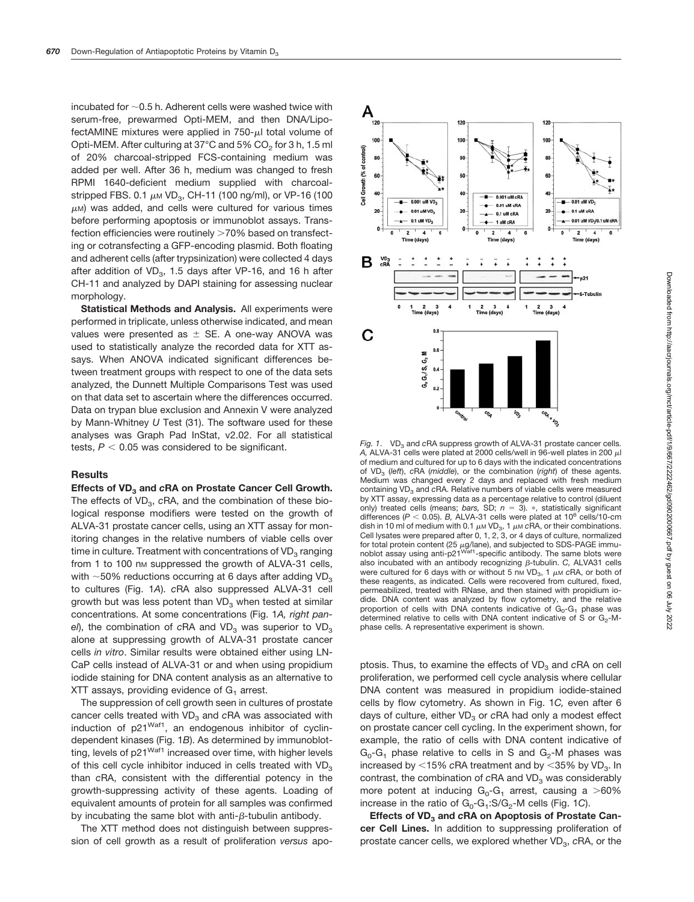incubated for  $\sim$  0.5 h. Adherent cells were washed twice with serum-free, prewarmed Opti-MEM, and then DNA/LipofectAMINE mixtures were applied in  $750-\mu l$  total volume of Opti-MEM. After culturing at 37°C and 5% CO<sub>2</sub> for 3 h, 1.5 ml of 20% charcoal-stripped FCS-containing medium was added per well. After 36 h, medium was changed to fresh RPMI 1640-deficient medium supplied with charcoalstripped FBS. 0.1  $\mu$ M VD<sub>3</sub>, CH-11 (100 ng/ml), or VP-16 (100  $\mu$ M) was added, and cells were cultured for various times before performing apoptosis or immunoblot assays. Transfection efficiencies were routinely >70% based on transfecting or cotransfecting a GFP-encoding plasmid. Both floating and adherent cells (after trypsinization) were collected 4 days after addition of  $VD_{3}$ , 1.5 days after VP-16, and 16 h after CH-11 and analyzed by DAPI staining for assessing nuclear morphology.

**Statistical Methods and Analysis.** All experiments were performed in triplicate, unless otherwise indicated, and mean values were presented as  $\pm$  SE. A one-way ANOVA was used to statistically analyze the recorded data for XTT assays. When ANOVA indicated significant differences between treatment groups with respect to one of the data sets analyzed, the Dunnett Multiple Comparisons Test was used on that data set to ascertain where the differences occurred. Data on trypan blue exclusion and Annexin V were analyzed by Mann-Whitney *U* Test (31). The software used for these analyses was Graph Pad InStat, v2.02. For all statistical tests,  $P < 0.05$  was considered to be significant.

### **Results**

Effects of VD<sub>3</sub> and *cRA* on Prostate Cancer Cell Growth. The effects of VD<sub>3</sub>, cRA, and the combination of these biological response modifiers were tested on the growth of ALVA-31 prostate cancer cells, using an XTT assay for monitoring changes in the relative numbers of viable cells over time in culture. Treatment with concentrations of  $VD<sub>3</sub>$  ranging from 1 to 100 nm suppressed the growth of ALVA-31 cells, with  $\sim$  50% reductions occurring at 6 days after adding VD<sub>3</sub> to cultures (Fig. 1*A*). *c*RA also suppressed ALVA-31 cell growth but was less potent than  $VD<sub>3</sub>$  when tested at similar concentrations. At some concentrations (Fig. 1*A, right panel*), the combination of *cRA* and  $VD<sub>3</sub>$  was superior to  $VD<sub>3</sub>$ alone at suppressing growth of ALVA-31 prostate cancer cells *in vitro*. Similar results were obtained either using LN-CaP cells instead of ALVA-31 or and when using propidium iodide staining for DNA content analysis as an alternative to XTT assays, providing evidence of  $G_1$  arrest.

The suppression of cell growth seen in cultures of prostate cancer cells treated with VD<sub>3</sub> and cRA was associated with induction of  $p21<sup>Waf1</sup>$ , an endogenous inhibitor of cyclindependent kinases (Fig. 1*B*). As determined by immunoblotting, levels of p21<sup>Waf1</sup> increased over time, with higher levels of this cell cycle inhibitor induced in cells treated with  $VD<sub>3</sub>$ than *c*RA, consistent with the differential potency in the growth-suppressing activity of these agents. Loading of equivalent amounts of protein for all samples was confirmed by incubating the same blot with anti- $\beta$ -tubulin antibody.

The XTT method does not distinguish between suppression of cell growth as a result of proliferation *versus* apo-



Fig. 1. VD<sub>3</sub> and cRA suppress growth of ALVA-31 prostate cancer cells.  $A$ , ALVA-31 cells were plated at 2000 cells/well in 96-well plates in 200  $\mu$ l of medium and cultured for up to 6 days with the indicated concentrations of VD3 (*left*), *c*RA (*middle*), or the combination (*right*) of these agents. Medium was changed every 2 days and replaced with fresh medium containing VD<sub>3</sub> and cRA. Relative numbers of viable cells were measured by XTT assay, expressing data as a percentage relative to control (diluent only) treated cells (means; *bars*, SD;  $n = 3$ ). \*, statistically significant differences ( $P < 0.05$ ). *B*, ALVA-31 cells were plated at 10<sup>6</sup> cells/10-cm dish in 10 ml of medium with 0.1  $\mu$  WD<sub>3</sub>, 1  $\mu$  cRA, or their combinations. Cell lysates were prepared after 0, 1, 2, 3, or 4 days of culture, normalized for total protein content (25 μg/lane), and subjected to SDS-PAGE immu-<br>noblot assay using anti-p21<sup>Waf1</sup>-specific antibody. The same blots were also incubated with an antibody recognizing  $\beta$ -tubulin. *C*, ALVA31 cells were cultured for 6 days with or without 5 nm  $VD<sub>3</sub>$ , 1  $\mu$ m cRA, or both of these reagents, as indicated. Cells were recovered from cultured, fixed, permeabilized, treated with RNase, and then stained with propidium iodide. DNA content was analyzed by flow cytometry, and the relative proportion of cells with DNA contents indicative of  $G_0-G_1$  phase was determined relative to cells with DNA content indicative of S or  $G_2$ -Mphase cells. A representative experiment is shown.

ptosis. Thus, to examine the effects of VD<sub>3</sub> and *cRA* on cell proliferation, we performed cell cycle analysis where cellular DNA content was measured in propidium iodide-stained cells by flow cytometry. As shown in Fig. 1*C,* even after 6 days of culture, either VD<sub>3</sub> or *cRA* had only a modest effect on prostate cancer cell cycling. In the experiment shown, for example, the ratio of cells with DNA content indicative of  $G_0$ - $G_1$  phase relative to cells in S and  $G_2$ -M phases was increased by  $<$ 15% *cRA* treatment and by  $<$ 35% by VD<sub>3</sub>. In contrast, the combination of cRA and VD<sub>3</sub> was considerably more potent at inducing  $G_0-G_1$  arrest, causing a >60% increase in the ratio of G<sub>0</sub>-G<sub>1</sub>:S/G<sub>2</sub>-M cells (Fig. 1*C*).

Effects of VD<sub>3</sub> and cRA on Apoptosis of Prostate Can**cer Cell Lines.** In addition to suppressing proliferation of prostate cancer cells, we explored whether VD<sub>3</sub>, cRA, or the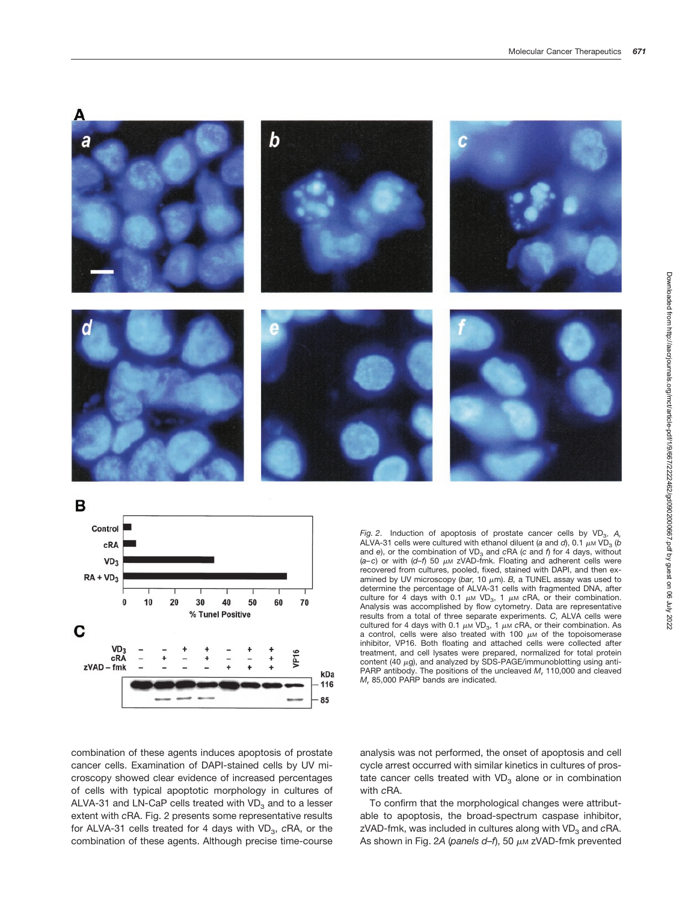



*Fig. 2.* Induction of apoptosis of prostate cancer cells by VD<sub>3</sub>. A, ALVA-31 cells were cultured with ethanol diluent (*a* and *d*), 0.1  $\mu$ M VD<sub>3</sub> (*b* and *e*), or the combination of VD<sub>3</sub> and *cRA* (*c* and *f*) for 4 days, without  $(a-c)$  or with  $(d-f)$  50  $\mu$ m zVAD-fmk. Floating and adherent cells were recovered from cultures, pooled, fixed, stained with DAPI, and then examined by UV microscopy (bar, 10  $\mu$ m). *B*, a TUNEL assay was used to determine the percentage of ALVA-31 cells with fragmented DNA, after culture for 4 days with 0.1  $\mu$ M VD<sub>3</sub>, 1  $\mu$ M cRA, or their combination. Analysis was accomplished by flow cytometry. Data are representative results from a total of three separate experiments. *C,* ALVA cells were cultured for 4 days with 0.1  $\mu$ <sub>M</sub> VD<sub>3</sub>, 1  $\mu$ <sub>M</sub> cRA, or their combination. As a control, cells were also treated with 100  $\mu$ M of the topoisomerase inhibitor, VP16. Both floating and attached cells were collected after treatment, and cell lysates were prepared, normalized for total protein content (40  $\mu$ g), and analyzed by SDS-PAGE/immunoblotting using anti-PARP antibody. The positions of the uncleaved *M*<sup>r</sup> 110,000 and cleaved *M<sub>r</sub>* 85,000 PARP bands are indicated.

combination of these agents induces apoptosis of prostate cancer cells. Examination of DAPI-stained cells by UV microscopy showed clear evidence of increased percentages of cells with typical apoptotic morphology in cultures of ALVA-31 and LN-CaP cells treated with  $VD<sub>3</sub>$  and to a lesser extent with *c*RA. Fig. 2 presents some representative results for ALVA-31 cells treated for 4 days with VD<sub>3</sub>, cRA, or the combination of these agents. Although precise time-course analysis was not performed, the onset of apoptosis and cell cycle arrest occurred with similar kinetics in cultures of prostate cancer cells treated with  $VD<sub>3</sub>$  alone or in combination with *c*RA.

To confirm that the morphological changes were attributable to apoptosis, the broad-spectrum caspase inhibitor, zVAD-fmk, was included in cultures along with VD<sub>3</sub> and cRA. As shown in Fig. 2A (panels d-f), 50 μm zVAD-fmk prevented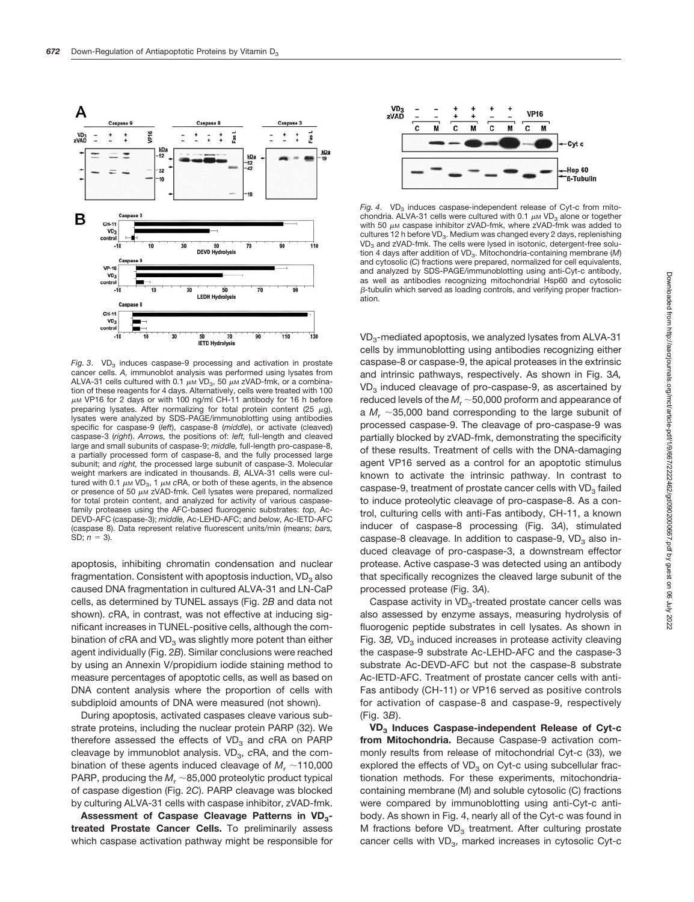

*Fig. 3.*  $VD<sub>3</sub>$  induces caspase-9 processing and activation in prostate cancer cells. *A,* immunoblot analysis was performed using lysates from ALVA-31 cells cultured with 0.1  $\mu$ M VD<sub>3</sub>, 50  $\mu$ M zVAD-fmk, or a combination of these reagents for 4 days. Alternatively, cells were treated with 100  $\mu$ M VP16 for 2 days or with 100 ng/ml CH-11 antibody for 16 h before preparing lysates. After normalizing for total protein content (25  $\mu$ g), lysates were analyzed by SDS-PAGE/immunoblotting using antibodies specific for caspase-9 (*left*), caspase-8 (*middle*), or activate (cleaved) caspase-3 (*right*). *Arrows,* the positions of: *left,* full-length and cleaved large and small subunits of caspase-9; *middle,* full-length pro-caspase-8, a partially processed form of caspase-8, and the fully processed large subunit; and *right,* the processed large subunit of caspase-3. Molecular weight markers are indicated in thousands. *B,* ALVA-31 cells were cultured with 0.1  $\mu$ M VD<sub>3</sub>, 1  $\mu$ M cRA, or both of these agents, in the absence or presence of 50  $\mu$ M zVAD-fmk. Cell lysates were prepared, normalized for total protein content, and analyzed for activity of various caspasefamily proteases using the AFC-based fluorogenic substrates: *top,* Ac-DEVD-AFC (caspase-3); *middle,* Ac-LEHD-AFC; and *below,* Ac-IETD-AFC (caspase 8). Data represent relative fluorescent units/min (means; *bars,* SD;  $n = 3$ ).

apoptosis, inhibiting chromatin condensation and nuclear fragmentation. Consistent with apoptosis induction,  $VD<sub>3</sub>$  also caused DNA fragmentation in cultured ALVA-31 and LN-CaP cells, as determined by TUNEL assays (Fig. 2*B* and data not shown). *c*RA, in contrast, was not effective at inducing significant increases in TUNEL-positive cells, although the combination of *cRA* and VD<sub>3</sub> was slightly more potent than either agent individually (Fig. 2*B*). Similar conclusions were reached by using an Annexin V/propidium iodide staining method to measure percentages of apoptotic cells, as well as based on DNA content analysis where the proportion of cells with subdiploid amounts of DNA were measured (not shown).

During apoptosis, activated caspases cleave various substrate proteins, including the nuclear protein PARP (32). We therefore assessed the effects of VD<sub>3</sub> and *cRA* on PARP cleavage by immunoblot analysis. VD<sub>3</sub>, cRA, and the combination of these agents induced cleavage of  $M_r \sim 110,000$ PARP, producing the  $M_r \sim 85,000$  proteolytic product typical of caspase digestion (Fig. 2*C*). PARP cleavage was blocked by culturing ALVA-31 cells with caspase inhibitor, zVAD-fmk.

Assessment of Caspase Cleavage Patterns in VD<sub>3</sub>**treated Prostate Cancer Cells.** To preliminarily assess which caspase activation pathway might be responsible for



 $Fig. 4. VD<sub>3</sub>$  induces caspase-independent release of Cyt-c from mitochondria. ALVA-31 cells were cultured with 0.1  $\mu$ M VD<sub>3</sub> alone or together with 50  $\mu$ M caspase inhibitor zVAD-fmk, where zVAD-fmk was added to cultures 12 h before VD<sub>3</sub>. Medium was changed every 2 days, replenishing VD<sub>3</sub> and zVAD-fmk. The cells were lysed in isotonic, detergent-free solution 4 days after addition of VD<sub>2</sub>. Mitochondria-containing membrane (*M*) and cytosolic (*C*) fractions were prepared, normalized for cell equivalents, and analyzed by SDS-PAGE/immunoblotting using anti-Cyt-c antibody, as well as antibodies recognizing mitochondrial Hsp60 and cytosolic  $B$ -tubulin which served as loading controls, and verifying proper fractionation.

VD3-mediated apoptosis, we analyzed lysates from ALVA-31 cells by immunoblotting using antibodies recognizing either caspase-8 or caspase-9, the apical proteases in the extrinsic and intrinsic pathways, respectively. As shown in Fig. 3*A,*  $VD<sub>3</sub>$  induced cleavage of pro-caspase-9, as ascertained by reduced levels of the  $M_r \sim 50,000$  proform and appearance of a  $M_r \sim 35,000$  band corresponding to the large subunit of processed caspase-9. The cleavage of pro-caspase-9 was partially blocked by zVAD-fmk, demonstrating the specificity of these results. Treatment of cells with the DNA-damaging agent VP16 served as a control for an apoptotic stimulus known to activate the intrinsic pathway. In contrast to caspase-9, treatment of prostate cancer cells with  $VD<sub>3</sub>$  failed to induce proteolytic cleavage of pro-caspase-8. As a control, culturing cells with anti-Fas antibody, CH-11, a known inducer of caspase-8 processing (Fig. 3*A*), stimulated caspase-8 cleavage. In addition to caspase-9,  $VD<sub>3</sub>$  also induced cleavage of pro-caspase-3, a downstream effector protease. Active caspase-3 was detected using an antibody that specifically recognizes the cleaved large subunit of the processed protease (Fig. 3*A*).

Caspase activity in  $VD_{3}$ -treated prostate cancer cells was also assessed by enzyme assays, measuring hydrolysis of fluorogenic peptide substrates in cell lysates. As shown in Fig. 3*B*, VD<sub>2</sub> induced increases in protease activity cleaving the caspase-9 substrate Ac-LEHD-AFC and the caspase-3 substrate Ac-DEVD-AFC but not the caspase-8 substrate Ac-IETD-AFC. Treatment of prostate cancer cells with anti-Fas antibody (CH-11) or VP16 served as positive controls for activation of caspase-8 and caspase-9, respectively (Fig. 3*B*).

**VD3 Induces Caspase-independent Release of Cyt-c from Mitochondria.** Because Caspase-9 activation commonly results from release of mitochondrial Cyt-c (33), we explored the effects of  $VD<sub>3</sub>$  on Cyt-c using subcellular fractionation methods. For these experiments, mitochondriacontaining membrane (M) and soluble cytosolic (C) fractions were compared by immunoblotting using anti-Cyt-c antibody. As shown in Fig. 4, nearly all of the Cyt-c was found in M fractions before  $VD_{3}$  treatment. After culturing prostate cancer cells with VD<sub>3</sub>, marked increases in cytosolic Cyt-c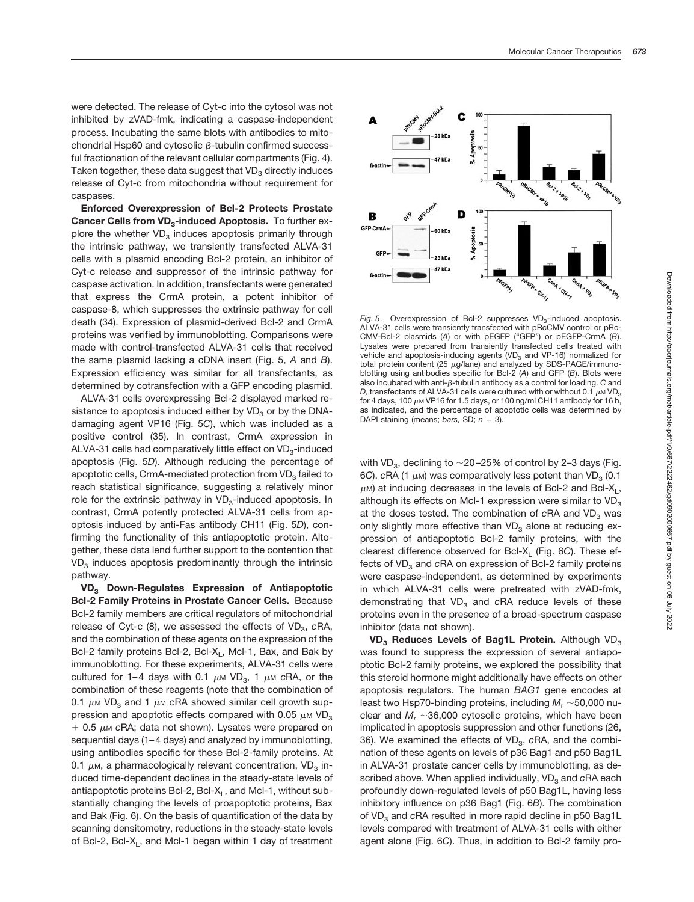were detected. The release of Cyt-c into the cytosol was not inhibited by zVAD-fmk, indicating a caspase-independent process. Incubating the same blots with antibodies to mitochondrial Hsp60 and cytosolic  $\beta$ -tubulin confirmed successful fractionation of the relevant cellular compartments (Fig. 4). Taken together, these data suggest that  $VD<sub>3</sub>$  directly induces release of Cyt-c from mitochondria without requirement for caspases.

**Enforced Overexpression of Bcl-2 Protects Prostate** Cancer Cells from VD<sub>3</sub>-induced Apoptosis. To further explore the whether  $VD<sub>3</sub>$  induces apoptosis primarily through the intrinsic pathway, we transiently transfected ALVA-31 cells with a plasmid encoding Bcl-2 protein, an inhibitor of Cyt-c release and suppressor of the intrinsic pathway for caspase activation. In addition, transfectants were generated that express the CrmA protein, a potent inhibitor of caspase-8, which suppresses the extrinsic pathway for cell death (34). Expression of plasmid-derived Bcl-2 and CrmA proteins was verified by immunoblotting. Comparisons were made with control-transfected ALVA-31 cells that received the same plasmid lacking a cDNA insert (Fig. 5, *A* and *B*). Expression efficiency was similar for all transfectants, as determined by cotransfection with a GFP encoding plasmid.

ALVA-31 cells overexpressing Bcl-2 displayed marked resistance to apoptosis induced either by  $VD<sub>3</sub>$  or by the DNAdamaging agent VP16 (Fig. 5*C*), which was included as a positive control (35). In contrast, CrmA expression in ALVA-31 cells had comparatively little effect on  $VD_{3}$ -induced apoptosis (Fig. 5*D*). Although reducing the percentage of apoptotic cells, CrmA-mediated protection from  $VD<sub>3</sub>$  failed to reach statistical significance, suggesting a relatively minor role for the extrinsic pathway in  $VD<sub>3</sub>$ -induced apoptosis. In contrast, CrmA potently protected ALVA-31 cells from apoptosis induced by anti-Fas antibody CH11 (Fig. 5*D*), confirming the functionality of this antiapoptotic protein. Altogether, these data lend further support to the contention that  $VD<sub>3</sub>$  induces apoptosis predominantly through the intrinsic pathway.

**VD3 Down-Regulates Expression of Antiapoptotic Bcl-2 Family Proteins in Prostate Cancer Cells.** Because Bcl-2 family members are critical regulators of mitochondrial release of Cyt-c (8), we assessed the effects of VD<sub>3</sub>, cRA, and the combination of these agents on the expression of the Bcl-2 family proteins Bcl-2, Bcl-X<sub>L</sub>, Mcl-1, Bax, and Bak by immunoblotting. For these experiments, ALVA-31 cells were cultured for 1–4 days with 0.1  $\mu$ M VD<sub>3</sub>, 1  $\mu$ M cRA, or the combination of these reagents (note that the combination of 0.1  $\mu$ M VD<sub>3</sub> and 1  $\mu$ M cRA showed similar cell growth suppression and apoptotic effects compared with 0.05  $\mu$ M VD<sub>3</sub>  $+$  0.5  $\mu$ m cRA; data not shown). Lysates were prepared on sequential days (1–4 days) and analyzed by immunoblotting, using antibodies specific for these Bcl-2-family proteins. At 0.1  $\mu$ M, a pharmacologically relevant concentration, VD<sub>3</sub> induced time-dependent declines in the steady-state levels of antiapoptotic proteins Bcl-2, Bcl-X<sub>1</sub>, and Mcl-1, without substantially changing the levels of proapoptotic proteins, Bax and Bak (Fig. 6). On the basis of quantification of the data by scanning densitometry, reductions in the steady-state levels of Bcl-2, Bcl-X<sub>L</sub>, and Mcl-1 began within 1 day of treatment



 $Fig. 5.$  Overexpression of Bcl-2 suppresses  $VD<sub>3</sub>$ -induced apoptosis. ALVA-31 cells were transiently transfected with pRcCMV control or pRc-CMV-Bcl-2 plasmids (*A*) or with pEGFP ("GFP") or pEGFP-CrmA (*B*). Lysates were prepared from transiently transfected cells treated with vehicle and apoptosis-inducing agents  $(VD<sub>3</sub>$  and VP-16) normalized for total protein content (25  $\mu$ g/lane) and analyzed by SDS-PAGE/immunoblotting using antibodies specific for Bcl-2 (*A*) and GFP (*B*). Blots were also incubated with anti- $\beta$ -tubulin antibody as a control for loading. *C* and D, transfectants of ALVA-31 cells were cultured with or without 0.1  $\mu$ MVD<sub>3</sub> for 4 days, 100  $\mu$ M VP16 for 1.5 days, or 100 ng/ml CH11 antibody for 16 h, as indicated, and the percentage of apoptotic cells was determined by DAPI staining (means; bars, SD;  $n = 3$ ).

with VD<sub>3</sub>, declining to  $\sim$  20–25% of control by 2–3 days (Fig. 6C).  $cRA$  (1  $\mu$ M) was comparatively less potent than VD<sub>3</sub> (0.1  $\mu$ M) at inducing decreases in the levels of Bcl-2 and Bcl-X<sub>1</sub>, although its effects on McI-1 expression were similar to  $VD<sub>3</sub>$ at the doses tested. The combination of cRA and VD<sub>3</sub> was only slightly more effective than VD<sub>2</sub> alone at reducing expression of antiapoptotic Bcl-2 family proteins, with the clearest difference observed for Bcl-X<sub>L</sub> (Fig. 6C). These effects of VD<sub>3</sub> and cRA on expression of Bcl-2 family proteins were caspase-independent, as determined by experiments in which ALVA-31 cells were pretreated with zVAD-fmk, demonstrating that VD<sub>3</sub> and cRA reduce levels of these proteins even in the presence of a broad-spectrum caspase inhibitor (data not shown).

**VD<sub>3</sub>** Reduces Levels of Bag1L Protein. Although VD<sub>3</sub> was found to suppress the expression of several antiapoptotic Bcl-2 family proteins, we explored the possibility that this steroid hormone might additionally have effects on other apoptosis regulators. The human *BAG1* gene encodes at least two Hsp70-binding proteins, including  $M_r \sim 50,000$  nuclear and  $M_r \sim 36,000$  cytosolic proteins, which have been implicated in apoptosis suppression and other functions (26, 36). We examined the effects of VD<sub>3</sub>, cRA, and the combination of these agents on levels of p36 Bag1 and p50 Bag1L in ALVA-31 prostate cancer cells by immunoblotting, as described above. When applied individually, VD<sub>3</sub> and *c*RA each profoundly down-regulated levels of p50 Bag1L, having less inhibitory influence on p36 Bag1 (Fig. 6*B*). The combination of VD<sub>3</sub> and cRA resulted in more rapid decline in p50 Bag1L levels compared with treatment of ALVA-31 cells with either agent alone (Fig. 6*C*). Thus, in addition to Bcl-2 family pro-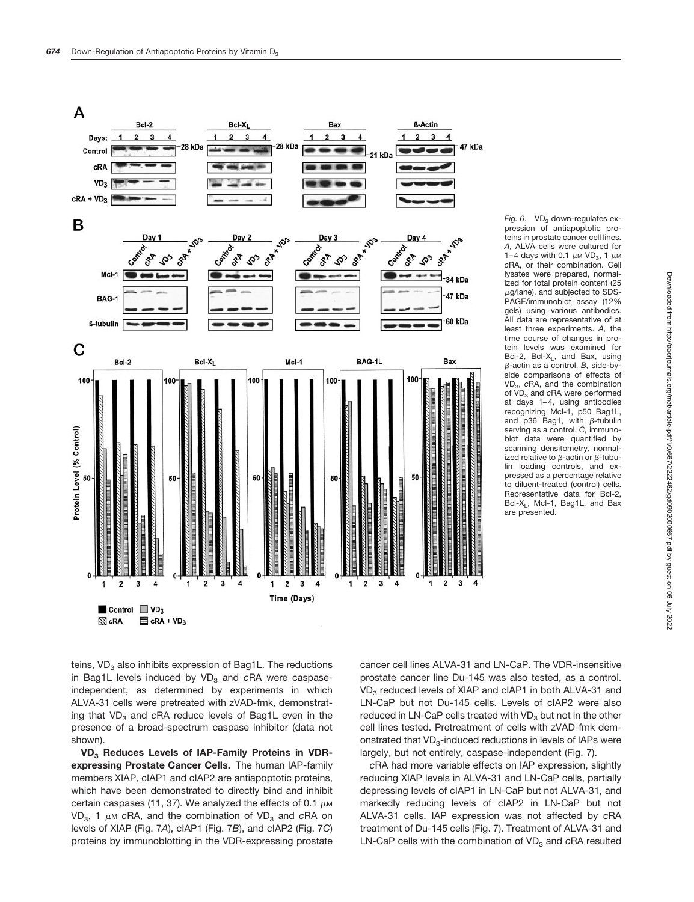

pression of antiapoptotic proteins in prostate cancer cell lines. *A,* ALVA cells were cultured for 1–4 days with 0.1  $\mu$ M VD<sub>3</sub>, 1  $\mu$ M *c*RA, or their combination. Cell lysates were prepared, normalized for total protein content (25  $\mu$ g/lane), and subjected to SDS-PAGE/immunoblot assay (12% gels) using various antibodies. All data are representative of at least three experiments. *A,* the time course of changes in protein levels was examined for Bcl-2, Bcl-X<sub>1</sub>, and Bax, using  $\beta$ -actin as a control. *B*, side-byside comparisons of effects of VD3, *c*RA, and the combination of VD<sub>3</sub> and cRA were performed at days 1–4, using antibodies recognizing Mcl-1, p50 Bag1L, and p36 Bag1, with  $\beta$ -tubulin serving as a control. *C,* immunoblot data were quantified by scanning densitometry, normalized relative to  $\beta$ -actin or  $\beta$ -tubulin loading controls, and expressed as a percentage relative to diluent-treated (control) cells. Representative data for Bcl-2, Bcl-X<sub>L</sub>, Mcl-1, Bag1L, and Bax are presented.

teins,  $VD<sub>3</sub>$  also inhibits expression of Bag1L. The reductions in Bag1L levels induced by VD<sub>3</sub> and cRA were caspaseindependent, as determined by experiments in which ALVA-31 cells were pretreated with zVAD-fmk, demonstrating that VD<sub>3</sub> and *cRA* reduce levels of Bag1L even in the presence of a broad-spectrum caspase inhibitor (data not shown).

**VD3 Reduces Levels of IAP-Family Proteins in VDRexpressing Prostate Cancer Cells.** The human IAP-family members XIAP, cIAP1 and cIAP2 are antiapoptotic proteins, which have been demonstrated to directly bind and inhibit certain caspases (11, 37). We analyzed the effects of 0.1  $\mu$ M VD<sub>3</sub>, 1  $\mu$ M *cRA*, and the combination of VD<sub>3</sub> and *cRA* on levels of XIAP (Fig. 7*A*), cIAP1 (Fig. 7*B*), and cIAP2 (Fig. 7*C*) proteins by immunoblotting in the VDR-expressing prostate

cancer cell lines ALVA-31 and LN-CaP. The VDR-insensitive prostate cancer line Du-145 was also tested, as a control.  $VD<sub>3</sub>$  reduced levels of XIAP and cIAP1 in both ALVA-31 and LN-CaP but not Du-145 cells. Levels of cIAP2 were also reduced in LN-CaP cells treated with  $VD<sub>3</sub>$  but not in the other cell lines tested. Pretreatment of cells with zVAD-fmk demonstrated that  $VD_{3}$ -induced reductions in levels of IAPs were largely, but not entirely, caspase-independent (Fig. 7).

*c*RA had more variable effects on IAP expression, slightly reducing XIAP levels in ALVA-31 and LN-CaP cells, partially depressing levels of cIAP1 in LN-CaP but not ALVA-31, and markedly reducing levels of cIAP2 in LN-CaP but not ALVA-31 cells. IAP expression was not affected by *c*RA treatment of Du-145 cells (Fig. 7). Treatment of ALVA-31 and LN-CaP cells with the combination of VD<sub>3</sub> and *cRA* resulted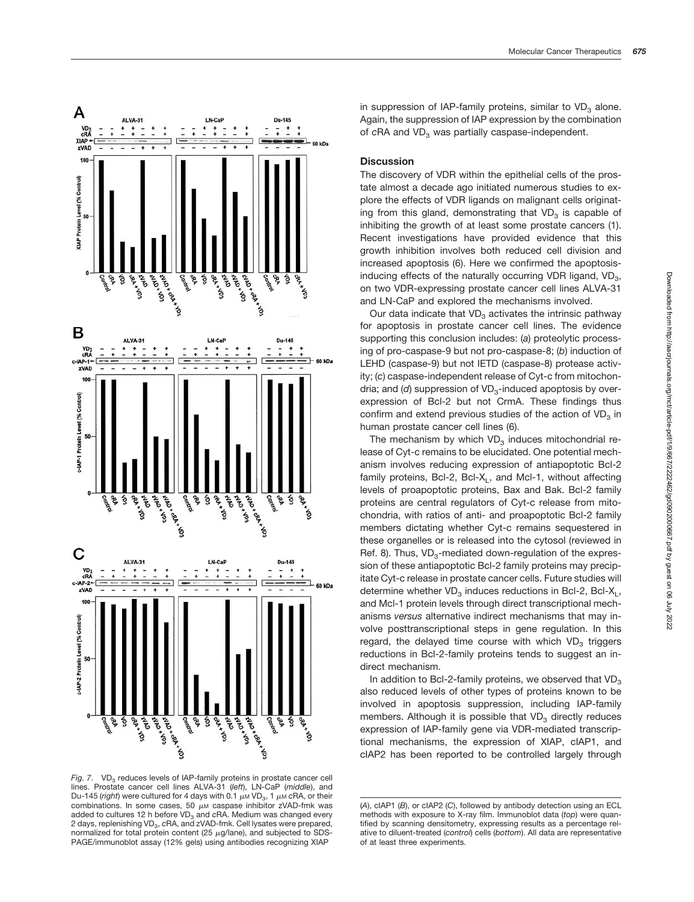

*Fig. 7.* VD<sub>3</sub> reduces levels of IAP-family proteins in prostate cancer cell lines. Prostate cancer cell lines ALVA-31 (*left*), LN-CaP (*middle*), and Du-145 (*right*) were cultured for 4 days with 0.1  $\mu$  M VD<sub>3</sub>, 1  $\mu$  *M* cRA, or their combinations. In some cases, 50  $\mu$ M caspase inhibitor zVAD-fmk was added to cultures 12 h before VD<sub>3</sub> and cRA. Medium was changed every 2 days, replenishing VD<sub>3</sub>, cRA, and zVAD-fmk. Cell lysates were prepared, normalized for total protein content (25  $\mu$ g/lane), and subjected to SDS-PAGE/immunoblot assay (12% gels) using antibodies recognizing XIAP

in suppression of IAP-family proteins, similar to  $VD<sub>3</sub>$  alone. Again, the suppression of IAP expression by the combination of cRA and VD<sub>3</sub> was partially caspase-independent.

## **Discussion**

The discovery of VDR within the epithelial cells of the prostate almost a decade ago initiated numerous studies to explore the effects of VDR ligands on malignant cells originating from this gland, demonstrating that  $VD<sub>3</sub>$  is capable of inhibiting the growth of at least some prostate cancers (1). Recent investigations have provided evidence that this growth inhibition involves both reduced cell division and increased apoptosis (6). Here we confirmed the apoptosisinducing effects of the naturally occurring VDR ligand,  $VD_{3}$ , on two VDR-expressing prostate cancer cell lines ALVA-31 and LN-CaP and explored the mechanisms involved.

Our data indicate that  $VD<sub>3</sub>$  activates the intrinsic pathway for apoptosis in prostate cancer cell lines. The evidence supporting this conclusion includes: (*a*) proteolytic processing of pro-caspase-9 but not pro-caspase-8; (*b*) induction of LEHD (caspase-9) but not IETD (caspase-8) protease activity; (*c*) caspase-independent release of Cyt-c from mitochondria; and (d) suppression of VD<sub>3</sub>-induced apoptosis by overexpression of Bcl-2 but not CrmA. These findings thus confirm and extend previous studies of the action of  $VD<sub>3</sub>$  in human prostate cancer cell lines (6).

The mechanism by which  $VD<sub>3</sub>$  induces mitochondrial release of Cyt-c remains to be elucidated. One potential mechanism involves reducing expression of antiapoptotic Bcl-2 family proteins, Bcl-2, Bcl-X $_1$ , and Mcl-1, without affecting levels of proapoptotic proteins, Bax and Bak. Bcl-2 family proteins are central regulators of Cyt-c release from mitochondria, with ratios of anti- and proapoptotic Bcl-2 family members dictating whether Cyt-c remains sequestered in these organelles or is released into the cytosol (reviewed in Ref. 8). Thus,  $VD_{3}$ -mediated down-regulation of the expression of these antiapoptotic Bcl-2 family proteins may precipitate Cyt-c release in prostate cancer cells. Future studies will determine whether  $VD<sub>3</sub>$  induces reductions in Bcl-2, Bcl-X<sub>L</sub>, and Mcl-1 protein levels through direct transcriptional mechanisms *versus* alternative indirect mechanisms that may involve posttranscriptional steps in gene regulation. In this regard, the delayed time course with which  $VD<sub>3</sub>$  triggers reductions in Bcl-2-family proteins tends to suggest an indirect mechanism.

In addition to Bcl-2-family proteins, we observed that  $VD<sub>3</sub>$ also reduced levels of other types of proteins known to be involved in apoptosis suppression, including IAP-family members. Although it is possible that  $VD<sub>3</sub>$  directly reduces expression of IAP-family gene via VDR-mediated transcriptional mechanisms, the expression of XIAP, cIAP1, and cIAP2 has been reported to be controlled largely through

<sup>(</sup>*A*), cIAP1 (*B*), or cIAP2 (*C*), followed by antibody detection using an ECL methods with exposure to X-ray film. Immunoblot data (*top*) were quantified by scanning densitometry, expressing results as a percentage relative to diluent-treated (*control*) cells (*bottom*). All data are representative of at least three experiments.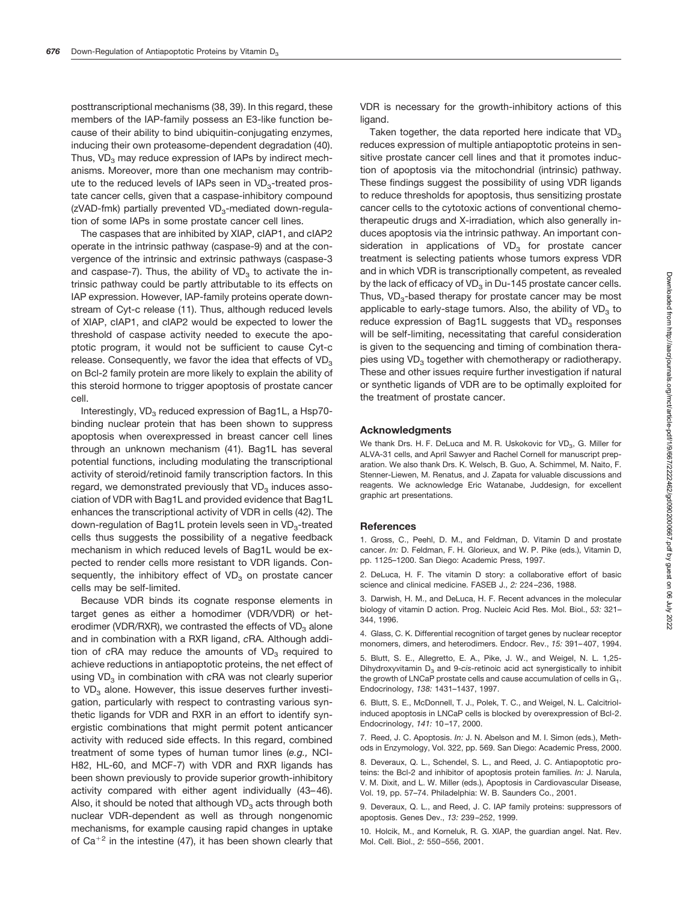posttranscriptional mechanisms (38, 39). In this regard, these members of the IAP-family possess an E3-like function because of their ability to bind ubiquitin-conjugating enzymes, inducing their own proteasome-dependent degradation (40). Thus,  $VD<sub>3</sub>$  may reduce expression of IAPs by indirect mechanisms. Moreover, more than one mechanism may contribute to the reduced levels of IAPs seen in  $VD_{3}$ -treated prostate cancer cells, given that a caspase-inhibitory compound ( $z$ VAD-fmk) partially prevented VD<sub>3</sub>-mediated down-regulation of some IAPs in some prostate cancer cell lines.

The caspases that are inhibited by XIAP, cIAP1, and cIAP2 operate in the intrinsic pathway (caspase-9) and at the convergence of the intrinsic and extrinsic pathways (caspase-3 and caspase-7). Thus, the ability of  $VD<sub>3</sub>$  to activate the intrinsic pathway could be partly attributable to its effects on IAP expression. However, IAP-family proteins operate downstream of Cyt-c release (11). Thus, although reduced levels of XIAP, cIAP1, and cIAP2 would be expected to lower the threshold of caspase activity needed to execute the apoptotic program, it would not be sufficient to cause Cyt-c release. Consequently, we favor the idea that effects of  $VD<sub>3</sub>$ on Bcl-2 family protein are more likely to explain the ability of this steroid hormone to trigger apoptosis of prostate cancer cell.

Interestingly, VD<sub>2</sub> reduced expression of Bag1L, a Hsp70binding nuclear protein that has been shown to suppress apoptosis when overexpressed in breast cancer cell lines through an unknown mechanism (41). Bag1L has several potential functions, including modulating the transcriptional activity of steroid/retinoid family transcription factors. In this regard, we demonstrated previously that  $VD<sub>3</sub>$  induces association of VDR with Bag1L and provided evidence that Bag1L enhances the transcriptional activity of VDR in cells (42). The down-regulation of Bag1L protein levels seen in VD<sub>3</sub>-treated cells thus suggests the possibility of a negative feedback mechanism in which reduced levels of Bag1L would be expected to render cells more resistant to VDR ligands. Consequently, the inhibitory effect of  $VD<sub>3</sub>$  on prostate cancer cells may be self-limited.

Because VDR binds its cognate response elements in target genes as either a homodimer (VDR/VDR) or heterodimer (VDR/RXR), we contrasted the effects of  $VD<sub>3</sub>$  alone and in combination with a RXR ligand, *c*RA. Although addition of cRA may reduce the amounts of VD<sub>3</sub> required to achieve reductions in antiapoptotic proteins, the net effect of using VD<sub>3</sub> in combination with cRA was not clearly superior to  $VD<sub>3</sub>$  alone. However, this issue deserves further investigation, particularly with respect to contrasting various synthetic ligands for VDR and RXR in an effort to identify synergistic combinations that might permit potent anticancer activity with reduced side effects. In this regard, combined treatment of some types of human tumor lines (*e.g.,* NCI-H82, HL-60, and MCF-7) with VDR and RXR ligands has been shown previously to provide superior growth-inhibitory activity compared with either agent individually (43–46). Also, it should be noted that although  $VD<sub>3</sub>$  acts through both nuclear VDR-dependent as well as through nongenomic mechanisms, for example causing rapid changes in uptake of Ca<sup>+2</sup> in the intestine (47), it has been shown clearly that

VDR is necessary for the growth-inhibitory actions of this ligand.

Taken together, the data reported here indicate that  $VD<sub>3</sub>$ reduces expression of multiple antiapoptotic proteins in sensitive prostate cancer cell lines and that it promotes induction of apoptosis via the mitochondrial (intrinsic) pathway. These findings suggest the possibility of using VDR ligands to reduce thresholds for apoptosis, thus sensitizing prostate cancer cells to the cytotoxic actions of conventional chemotherapeutic drugs and X-irradiation, which also generally induces apoptosis via the intrinsic pathway. An important consideration in applications of  $VD<sub>3</sub>$  for prostate cancer treatment is selecting patients whose tumors express VDR and in which VDR is transcriptionally competent, as revealed by the lack of efficacy of  $VD<sub>3</sub>$  in Du-145 prostate cancer cells. Thus,  $VD<sub>3</sub>$ -based therapy for prostate cancer may be most applicable to early-stage tumors. Also, the ability of  $VD<sub>3</sub>$  to reduce expression of Bag1L suggests that  $VD<sub>3</sub>$  responses will be self-limiting, necessitating that careful consideration is given to the sequencing and timing of combination therapies using  $VD<sub>3</sub>$  together with chemotherapy or radiotherapy. These and other issues require further investigation if natural or synthetic ligands of VDR are to be optimally exploited for the treatment of prostate cancer.

#### **Acknowledgments**

We thank Drs. H. F. DeLuca and M. R. Uskokovic for VD<sub>3</sub>, G. Miller for ALVA-31 cells, and April Sawyer and Rachel Cornell for manuscript preparation. We also thank Drs. K. Welsch, B. Guo, A. Schimmel, M. Naito, F. Stenner-Liewen, M. Renatus, and J. Zapata for valuable discussions and reagents. We acknowledge Eric Watanabe, Juddesign, for excellent graphic art presentations.

#### **References**

1. Gross, C., Peehl, D. M., and Feldman, D. Vitamin D and prostate cancer. *In:* D. Feldman, F. H. Glorieux, and W. P. Pike (eds.), Vitamin D, pp. 1125–1200. San Diego: Academic Press, 1997.

2. DeLuca, H. F. The vitamin D story: a collaborative effort of basic science and clinical medicine. FASEB J., *2:* 224–236, 1988.

3. Darwish, H. M., and DeLuca, H. F. Recent advances in the molecular biology of vitamin D action. Prog. Nucleic Acid Res. Mol. Biol., *53:* 321– 344, 1996.

4. Glass, C. K. Differential recognition of target genes by nuclear receptor monomers, dimers, and heterodimers. Endocr. Rev., *15:* 391–407, 1994.

5. Blutt, S. E., Allegretto, E. A., Pike, J. W., and Weigel, N. L. 1,25- Dihydroxyvitamin D<sub>3</sub> and 9-cis-retinoic acid act synergistically to inhibit the growth of LNCaP prostate cells and cause accumulation of cells in  $G_1$ . Endocrinology, *138:* 1431–1437, 1997.

6. Blutt, S. E., McDonnell, T. J., Polek, T. C., and Weigel, N. L. Calcitriolinduced apoptosis in LNCaP cells is blocked by overexpression of Bcl-2. Endocrinology, *141:* 10–17, 2000.

7. Reed, J. C. Apoptosis. *In:* J. N. Abelson and M. I. Simon (eds.), Methods in Enzymology, Vol. 322, pp. 569. San Diego: Academic Press, 2000.

8. Deveraux, Q. L., Schendel, S. L., and Reed, J. C. Antiapoptotic proteins: the Bcl-2 and inhibitor of apoptosis protein families. *In:* J. Narula, V. M. Dixit, and L. W. Miller (eds.), Apoptosis in Cardiovascular Disease, Vol. 19, pp. 57–74. Philadelphia: W. B. Saunders Co., 2001.

9. Deveraux, Q. L., and Reed, J. C. IAP family proteins: suppressors of apoptosis. Genes Dev., *13:* 239–252, 1999.

10. Holcik, M., and Korneluk, R. G. XIAP, the guardian angel. Nat. Rev. Mol. Cell. Biol., *2:* 550–556, 2001.